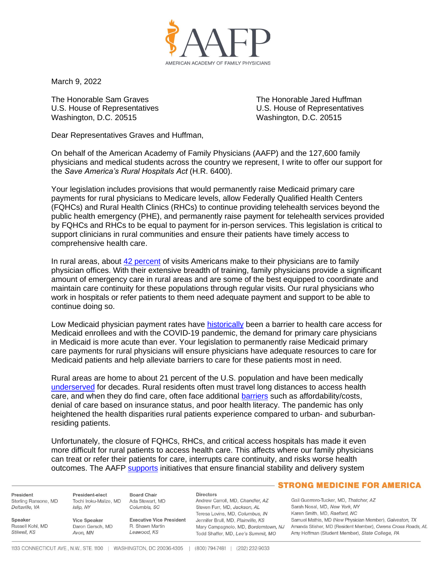

March 9, 2022

The Honorable Sam Graves The Honorable Jared Huffman Washington, D.C. 20515 Washington, D.C. 20515

U.S. House of Representatives U.S. House of Representatives

Dear Representatives Graves and Huffman,

On behalf of the American Academy of Family Physicians (AAFP) and the 127,600 family physicians and medical students across the country we represent, I write to offer our support for the *Save America's Rural Hospitals Act* (H.R. 6400).

Your legislation includes provisions that would permanently raise Medicaid primary care payments for rural physicians to Medicare levels, allow Federally Qualified Health Centers (FQHCs) and Rural Health Clinics (RHCs) to continue providing telehealth services beyond the public health emergency (PHE), and permanently raise payment for telehealth services provided by FQHCs and RHCs to be equal to payment for in-person services. This legislation is critical to support clinicians in rural communities and ensure their patients have timely access to comprehensive health care.

In rural areas, about [42 percent](https://www.aafp.org/about/policies/all/rural-practice-keeping-physicians.html) of visits Americans make to their physicians are to family physician offices. With their extensive breadth of training, family physicians provide a significant amount of emergency care in rural areas and are some of the best equipped to coordinate and maintain care continuity for these populations through regular visits. Our rural physicians who work in hospitals or refer patients to them need adequate payment and support to be able to continue doing so.

Low Medicaid physician payment rates have [historically](https://www.jstor.org/stable/29772389) been a barrier to health care access for Medicaid enrollees and with the COVID-19 pandemic, the demand for primary care physicians in Medicaid is more acute than ever. Your legislation to permanently raise Medicaid primary care payments for rural physicians will ensure physicians have adequate resources to care for Medicaid patients and help alleviate barriers to care for these patients most in need.

Rural areas are home to about 21 percent of the U.S. population and have been medically [underserved](https://www.aafp.org/about/policies/all/rural-practice-keeping-physicians.html) for decades. Rural residents often must travel long distances to access health care, and when they do find care, often face additional [barriers](https://www.ruralhealthinfo.org/topics/healthcare-access#barriers) such as affordability/costs, denial of care based on insurance status, and poor health literacy. The pandemic has only heightened the health disparities rural patients experience compared to urban- and suburbanresiding patients.

Unfortunately, the closure of FQHCs, RHCs, and critical access hospitals has made it even more difficult for rural patients to access health care. This affects where our family physicians can treat or refer their patients for care, interrupts care continuity, and risks worse health outcomes. The AAFP [supports](https://www.aafp.org/about/policies/all/rural-health-care-access.html) initiatives that ensure financial stability and delivery system

President Sterling Ransone, MD Deltaville, VA

Russell Kohl, MD

Speaker

Stilwell, KS

President-elect **Board Chair** Tochi Iroku-Malize, MD Ada Stewart, MD Islip, NY Columbia, SC

**Vice Speaker** Daron Gersch, MD Avon, MN

R. Shawn Martin Leawood, KS

## **Directors**

Andrew Carroll, MD, Chandler, AZ Steven Furr, MD, Jackson, AL Teresa Lovins, MD, Columbus, IN Executive Vice President Jennifer Brull, MD, Plainville, KS Todd Shaffer, MD, Lee's Summit, MO

## **STRONG MEDICINE FOR AMERICA**

Gail Guerrero-Tucker, MD, Thatcher, AZ Sarah Nosal, MD, New York, NY Karen Smith, MD, Raeford, NC Samuel Mathis, MD (New Physician Member), Galveston, TX Mary Campagnolo, MD, Borderntown, NJ Amanda Stisher, MD (Resident Member), Owens Cross Roads, AL Amy Hoffman (Student Member), State College, PA